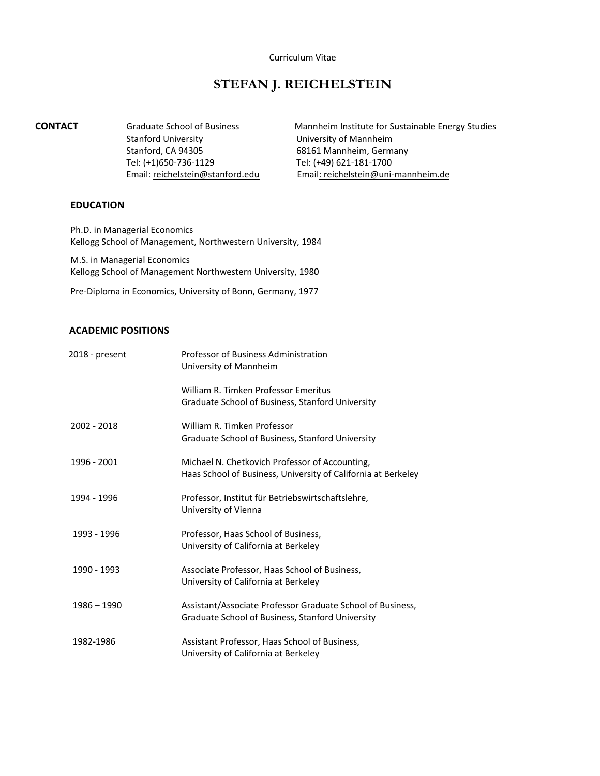#### Curriculum Vitae

# **STEFAN J. REICHELSTEIN**

Stanford University University of Mannheim Stanford, CA 94305 68161 Mannheim, Germany Tel: (+1)650-736-1129 Tel: (+49) 621-181-1700

**CONTACT** Graduate School of Business Mannheim Institute for Sustainable Energy Studies Email: [reichelstein@stanford.edu](mailto:reichelstein@stanford.edu) Email: reichelstein@uni-mannheim.de

## **EDUCATION**

Ph.D. in Managerial Economics Kellogg School of Management, Northwestern University, 1984

M.S. in Managerial Economics Kellogg School of Management Northwestern University, 1980

Pre-Diploma in Economics, University of Bonn, Germany, 1977

# **ACADEMIC POSITIONS**

| 2018 - present | Professor of Business Administration<br>University of Mannheim                                                  |
|----------------|-----------------------------------------------------------------------------------------------------------------|
|                | William R. Timken Professor Emeritus<br>Graduate School of Business, Stanford University                        |
| 2002 - 2018    | William R. Timken Professor<br>Graduate School of Business, Stanford University                                 |
| 1996 - 2001    | Michael N. Chetkovich Professor of Accounting,<br>Haas School of Business, University of California at Berkeley |
| 1994 - 1996    | Professor, Institut für Betriebswirtschaftslehre,<br>University of Vienna                                       |
| 1993 - 1996    | Professor, Haas School of Business,<br>University of California at Berkeley                                     |
| 1990 - 1993    | Associate Professor, Haas School of Business,<br>University of California at Berkeley                           |
| $1986 - 1990$  | Assistant/Associate Professor Graduate School of Business,<br>Graduate School of Business, Stanford University  |
| 1982-1986      | Assistant Professor, Haas School of Business,<br>University of California at Berkeley                           |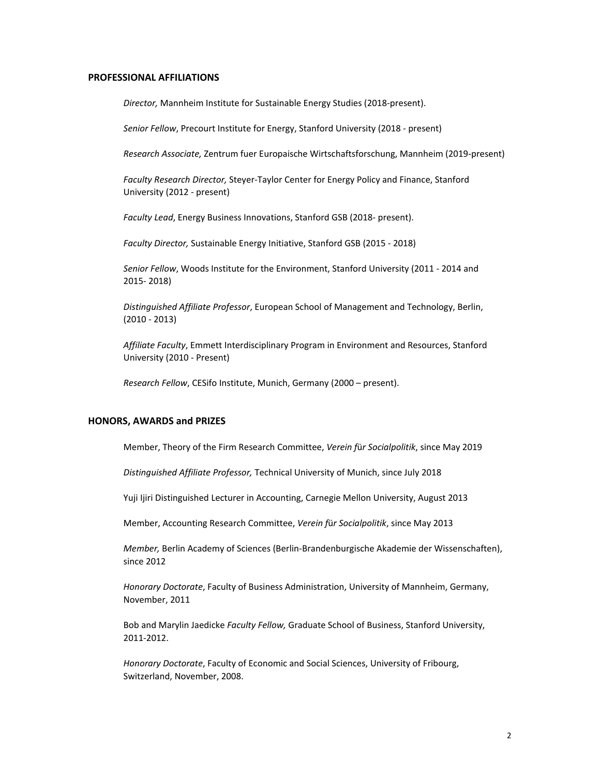#### **PROFESSIONAL AFFILIATIONS**

*Director,* Mannheim Institute for Sustainable Energy Studies (2018-present).

*Senior Fellow*, Precourt Institute for Energy, Stanford University (2018 - present)

*Research Associate,* Zentrum fuer Europaische Wirtschaftsforschung, Mannheim (2019-present)

*Faculty Research Director,* Steyer-Taylor Center for Energy Policy and Finance, Stanford University (2012 - present)

*Faculty Lead*, Energy Business Innovations, Stanford GSB (2018- present).

*Faculty Director,* Sustainable Energy Initiative, Stanford GSB (2015 - 2018)

*Senior Fellow*, Woods Institute for the Environment, Stanford University (2011 - 2014 and 2015- 2018)

*Distinguished Affiliate Professor*, European School of Management and Technology, Berlin, (2010 - 2013)

*Affiliate Faculty*, Emmett Interdisciplinary Program in Environment and Resources, Stanford University (2010 - Present)

*Research Fellow*, CESifo Institute, Munich, Germany (2000 – present).

## **HONORS, AWARDS and PRIZES**

Member, Theory of the Firm Research Committee, *Verein f*ü*r Socialpolitik*, since May 2019

*Distinguished Affiliate Professor,* Technical University of Munich, since July 2018

Yuji Ijiri Distinguished Lecturer in Accounting, Carnegie Mellon University, August 2013

Member, Accounting Research Committee, *Verein f*ü*r Socialpolitik*, since May 2013

*Member,* Berlin Academy of Sciences (Berlin-Brandenburgische Akademie der Wissenschaften), since 2012

*Honorary Doctorate*, Faculty of Business Administration, University of Mannheim, Germany, November, 2011

Bob and Marylin Jaedicke *Faculty Fellow,* Graduate School of Business, Stanford University, 2011-2012.

*Honorary Doctorate*, Faculty of Economic and Social Sciences, University of Fribourg, Switzerland, November, 2008.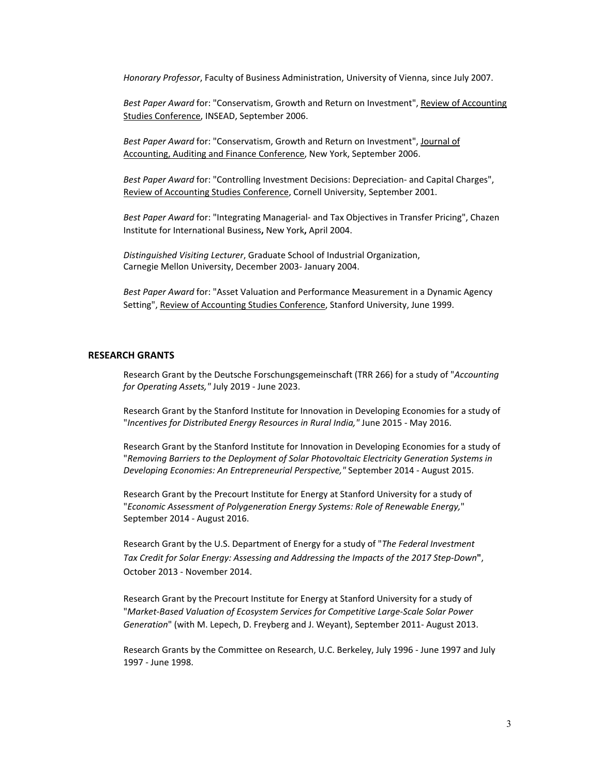*Honorary Professor*, Faculty of Business Administration, University of Vienna, since July 2007.

*Best Paper Award* for: "Conservatism, Growth and Return on Investment", Review of Accounting Studies Conference, INSEAD, September 2006.

*Best Paper Award* for: "Conservatism, Growth and Return on Investment", Journal of Accounting, Auditing and Finance Conference, New York, September 2006.

*Best Paper Award* for: "Controlling Investment Decisions: Depreciation- and Capital Charges", Review of Accounting Studies Conference, Cornell University, September 2001.

*Best Paper Award* for: "Integrating Managerial- and Tax Objectives in Transfer Pricing", Chazen Institute for International Business**,** New York**,** April 2004.

*Distinguished Visiting Lecturer*, Graduate School of Industrial Organization, Carnegie Mellon University, December 2003- January 2004.

*Best Paper Award* for: "Asset Valuation and Performance Measurement in a Dynamic Agency Setting", Review of Accounting Studies Conference, Stanford University, June 1999.

## **RESEARCH GRANTS**

Research Grant by the Deutsche Forschungsgemeinschaft (TRR 266) for a study of "*Accounting for Operating Assets,"* July 2019 - June 2023.

Research Grant by the Stanford Institute for Innovation in Developing Economies for a study of "*Incentives for Distributed Energy Resources in Rural India,"* June 2015 - May 2016.

Research Grant by the Stanford Institute for Innovation in Developing Economies for a study of "*Removing Barriers to the Deployment of Solar Photovoltaic Electricity Generation Systems in Developing Economies: An Entrepreneurial Perspective,"* September 2014 - August 2015.

Research Grant by the Precourt Institute for Energy at Stanford University for a study of "*Economic Assessment of Polygeneration Energy Systems: Role of Renewable Energy,*" September 2014 - August 2016.

Research Grant by the U.S. Department of Energy for a study of "*The Federal Investment Tax Credit for Solar Energy: Assessing and Addressing the Impacts of the 2017 Step-Down***"**, October 2013 - November 2014.

Research Grant by the Precourt Institute for Energy at Stanford University for a study of "*Market-Based Valuation of Ecosystem Services for Competitive Large-Scale Solar Power Generation*" (with M. Lepech, D. Freyberg and J. Weyant), September 2011- August 2013.

Research Grants by the Committee on Research, U.C. Berkeley, July 1996 - June 1997 and July 1997 - June 1998.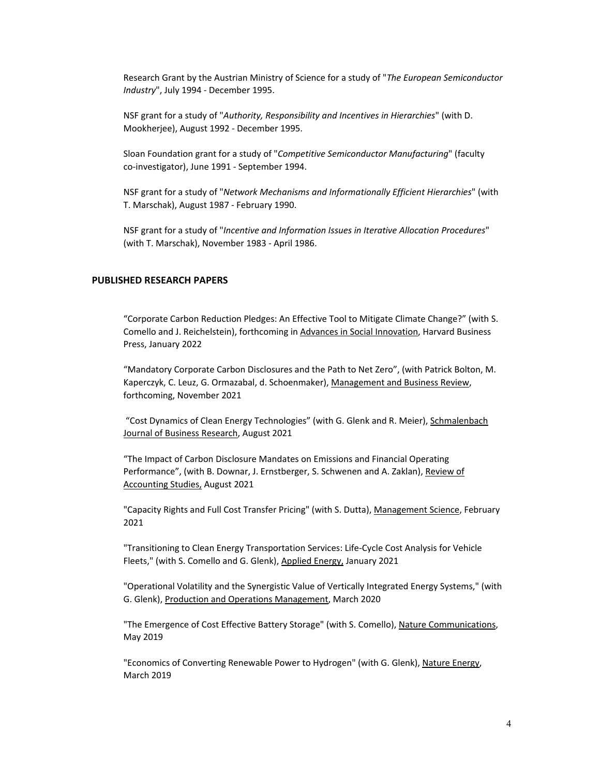Research Grant by the Austrian Ministry of Science for a study of "*The European Semiconductor Industry*", July 1994 - December 1995.

NSF grant for a study of "*Authority, Responsibility and Incentives in Hierarchies*" (with D. Mookherjee), August 1992 - December 1995.

Sloan Foundation grant for a study of "*Competitive Semiconductor Manufacturing*" (faculty co-investigator), June 1991 - September 1994.

NSF grant for a study of "*Network Mechanisms and Informationally Efficient Hierarchies*" (with T. Marschak), August 1987 - February 1990.

NSF grant for a study of "*Incentive and Information Issues in Iterative Allocation Procedures*" (with T. Marschak), November 1983 - April 1986.

## **PUBLISHED RESEARCH PAPERS**

"Corporate Carbon Reduction Pledges: An Effective Tool to Mitigate Climate Change?" (with S. Comello and J. Reichelstein), forthcoming in Advances in Social Innovation, Harvard Business Press, January 2022

"Mandatory Corporate Carbon Disclosures and the Path to Net Zero", (with Patrick Bolton, M. Kaperczyk, C. Leuz, G. Ormazabal, d. Schoenmaker), Management and Business Review, forthcoming, November 2021

"Cost Dynamics of Clean Energy Technologies" (with G. Glenk and R. Meier), Schmalenbach Journal of Business Research, August 2021

"The Impact of Carbon Disclosure Mandates on Emissions and Financial Operating Performance", (with B. Downar, J. Ernstberger, S. Schwenen and A. Zaklan), Review of Accounting Studies, August 2021

"Capacity Rights and Full Cost Transfer Pricing" (with S. Dutta), Management Science, February 2021

"Transitioning to Clean Energy Transportation Services: Life-Cycle Cost Analysis for Vehicle Fleets," (with S. Comello and G. Glenk), Applied Energy, January 2021

"Operational Volatility and the Synergistic Value of Vertically Integrated Energy Systems," (with G. Glenk), Production and Operations Management, March 2020

"The Emergence of Cost Effective Battery Storage" (with S. Comello), Nature Communications, May 2019

"Economics of Converting Renewable Power to Hydrogen" (with G. Glenk), Nature Energy, March 2019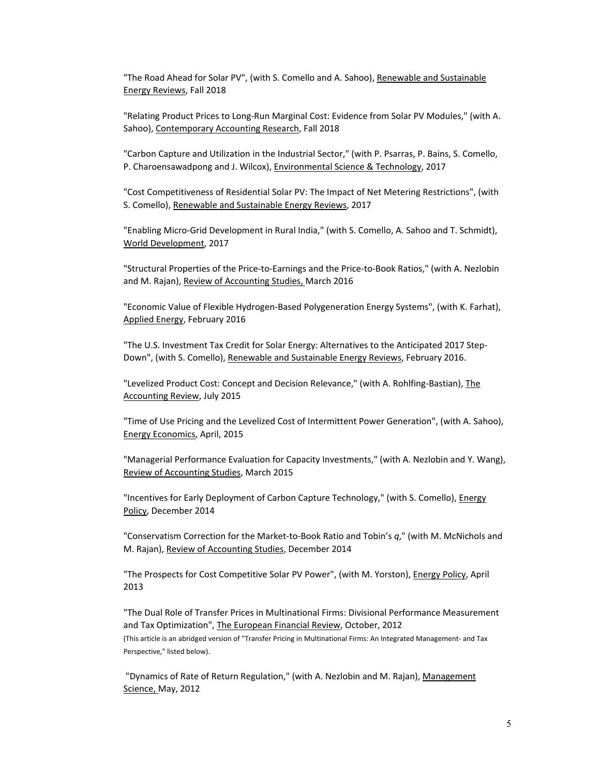"The Road Ahead for Solar PV", (with S. Comello and A. Sahoo), Renewable and Sustainable Energy Reviews, Fall 2018

"Relating Product Prices to Long-Run Marginal Cost: Evidence from Solar PV Modules," (with A. Sahoo), Contemporary Accounting Research, Fall 2018

"Carbon Capture and Utilization in the Industrial Sector," (with P. Psarras, P. Bains, S. Comello, P. Charoensawadpong and J. Wilcox), Environmental Science & Technology, 2017

"Cost Competitiveness of Residential Solar PV: The Impact of Net Metering Restrictions", (with S. Comello), Renewable and Sustainable Energy Reviews, 2017

"Enabling Micro-Grid Development in Rural India," (with S. Comello, A. Sahoo and T. Schmidt), World Development, 2017

"Structural Properties of the Price-to-Earnings and the Price-to-Book Ratios," (with A. Nezlobin and M. Rajan), Review of Accounting Studies, March 2016

"Economic Value of Flexible Hydrogen-Based Polygeneration Energy Systems", (with K. Farhat), Applied Energy, February 2016

"The U.S. Investment Tax Credit for Solar Energy: Alternatives to the Anticipated 2017 Step-Down", (with S. Comello), Renewable and Sustainable Energy Reviews, February 2016.

"Levelized Product Cost: Concept and Decision Relevance," (with A. Rohlfing-Bastian), The Accounting Review, July 2015

"Time of Use Pricing and the Levelized Cost of Intermittent Power Generation", (with A. Sahoo), Energy Economics, April, 2015

"Managerial Performance Evaluation for Capacity Investments," (with A. Nezlobin and Y. Wang), Review of Accounting Studies, March 2015

"Incentives for Early Deployment of Carbon Capture Technology," (with S. Comello), Energy Policy, December 2014

"Conservatism Correction for the Market-to-Book Ratio and Tobin's *q*," (with M. McNichols and M. Rajan), Review of Accounting Studies, December 2014

"The Prospects for Cost Competitive Solar PV Power", (with M. Yorston), *Energy Policy*, April 2013

"The Dual Role of Transfer Prices in Multinational Firms: Divisional Performance Measurement and Tax Optimization", The European Financial Review, October, 2012 (This article is an abridged version of "Transfer Pricing in Multinational Firms: An Integrated Management- and Tax Perspective," listed below).

"Dynamics of Rate of Return Regulation," (with A. Nezlobin and M. Rajan), Management Science, May, 2012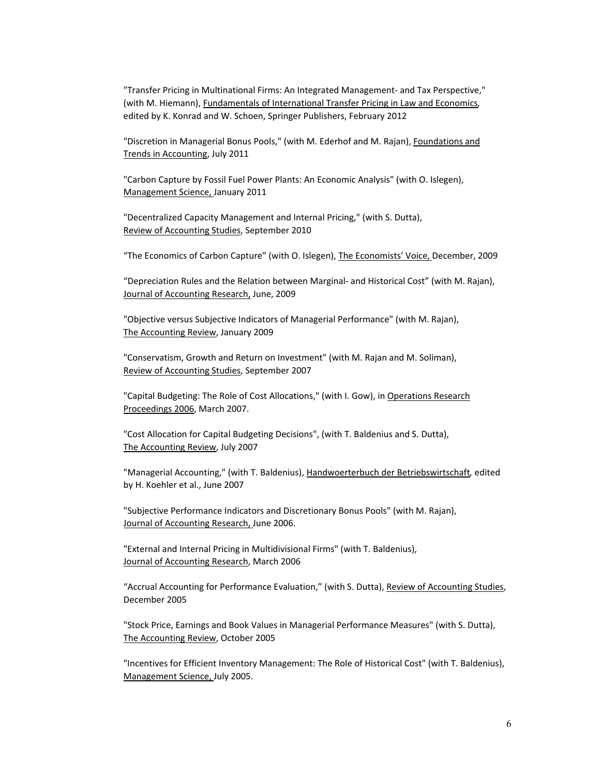"Transfer Pricing in Multinational Firms: An Integrated Management- and Tax Perspective," (with M. Hiemann), Fundamentals of International Transfer Pricing in Law and Economics*,*  edited by K. Konrad and W. Schoen, Springer Publishers, February 2012

"Discretion in Managerial Bonus Pools," (with M. Ederhof and M. Rajan), Foundations and Trends in Accounting, July 2011

"Carbon Capture by Fossil Fuel Power Plants: An Economic Analysis" (with O. Islegen), Management Science, January 2011

"Decentralized Capacity Management and Internal Pricing," (with S. Dutta), Review of Accounting Studies, September 2010

"The Economics of Carbon Capture" (with O. Islegen), The Economists' Voice, December, 2009

"Depreciation Rules and the Relation between Marginal- and Historical Cost" (with M. Rajan), Journal of Accounting Research, June, 2009

"Objective versus Subjective Indicators of Managerial Performance" (with M. Rajan), The Accounting Review, January 2009

"Conservatism, Growth and Return on Investment" (with M. Rajan and M. Soliman), Review of Accounting Studies, September 2007

"Capital Budgeting: The Role of Cost Allocations," (with I. Gow), in Operations Research Proceedings 2006, March 2007.

"Cost Allocation for Capital Budgeting Decisions", (with T. Baldenius and S. Dutta), The Accounting Review, July 2007

"Managerial Accounting," (with T. Baldenius), Handwoerterbuch der Betriebswirtschaft*,* edited by H. Koehler et al., June 2007

"Subjective Performance Indicators and Discretionary Bonus Pools" (with M. Rajan), Journal of Accounting Research, June 2006.

"External and Internal Pricing in Multidivisional Firms" (with T. Baldenius), Journal of Accounting Research, March 2006

"Accrual Accounting for Performance Evaluation," (with S. Dutta), Review of Accounting Studies, December 2005

"Stock Price, Earnings and Book Values in Managerial Performance Measures" (with S. Dutta), The Accounting Review, October 2005

"Incentives for Efficient Inventory Management: The Role of Historical Cost" (with T. Baldenius), Management Science, July 2005.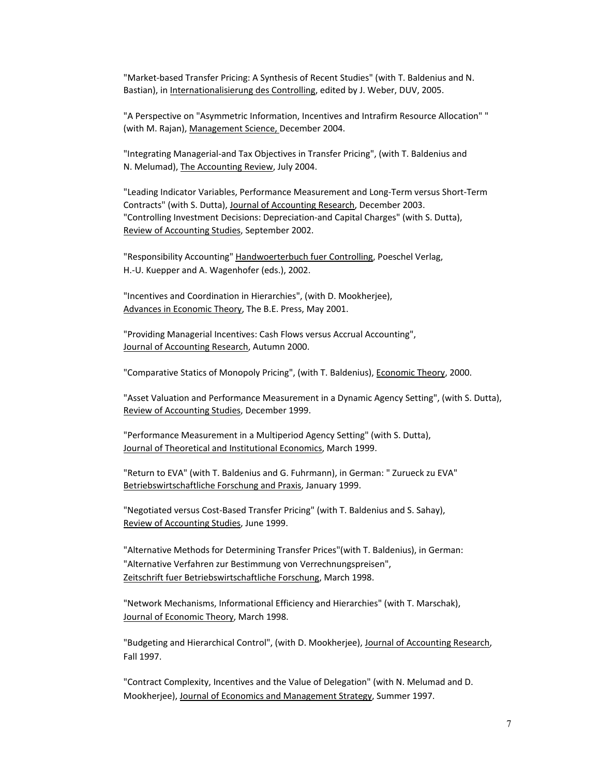"Market-based Transfer Pricing: A Synthesis of Recent Studies" (with T. Baldenius and N. Bastian), in Internationalisierung des Controlling, edited by J. Weber, DUV, 2005.

"A Perspective on "Asymmetric Information, Incentives and Intrafirm Resource Allocation" " (with M. Rajan), Management Science, December 2004.

"Integrating Managerial-and Tax Objectives in Transfer Pricing", (with T. Baldenius and N. Melumad), The Accounting Review, July 2004.

"Leading Indicator Variables, Performance Measurement and Long-Term versus Short-Term Contracts" (with S. Dutta), Journal of Accounting Research, December 2003. "Controlling Investment Decisions: Depreciation-and Capital Charges" (with S. Dutta), Review of Accounting Studies, September 2002.

"Responsibility Accounting" Handwoerterbuch fuer Controlling, Poeschel Verlag, H.-U. Kuepper and A. Wagenhofer (eds.), 2002.

"Incentives and Coordination in Hierarchies", (with D. Mookherjee), Advances in Economic Theory, The B.E. Press, May 2001.

"Providing Managerial Incentives: Cash Flows versus Accrual Accounting", Journal of Accounting Research, Autumn 2000.

"Comparative Statics of Monopoly Pricing", (with T. Baldenius), Economic Theory, 2000.

"Asset Valuation and Performance Measurement in a Dynamic Agency Setting", (with S. Dutta), Review of Accounting Studies, December 1999.

"Performance Measurement in a Multiperiod Agency Setting" (with S. Dutta), Journal of Theoretical and Institutional Economics, March 1999.

"Return to EVA" (with T. Baldenius and G. Fuhrmann), in German: " Zurueck zu EVA" Betriebswirtschaftliche Forschung and Praxis, January 1999.

"Negotiated versus Cost-Based Transfer Pricing" (with T. Baldenius and S. Sahay), Review of Accounting Studies, June 1999.

"Alternative Methods for Determining Transfer Prices"(with T. Baldenius), in German: "Alternative Verfahren zur Bestimmung von Verrechnungspreisen", Zeitschrift fuer Betriebswirtschaftliche Forschung, March 1998.

"Network Mechanisms, Informational Efficiency and Hierarchies" (with T. Marschak), Journal of Economic Theory, March 1998.

"Budgeting and Hierarchical Control", (with D. Mookherjee), Journal of Accounting Research, Fall 1997.

"Contract Complexity, Incentives and the Value of Delegation" (with N. Melumad and D. Mookherjee), Journal of Economics and Management Strategy, Summer 1997.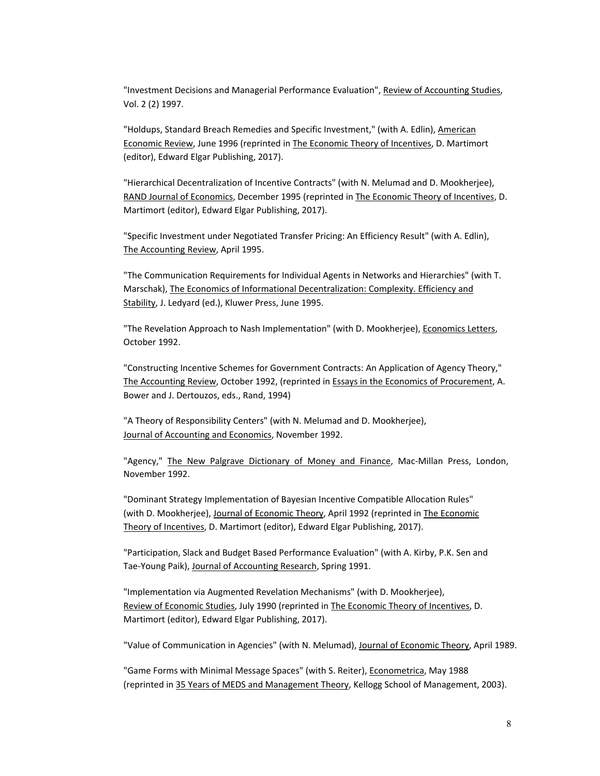"Investment Decisions and Managerial Performance Evaluation", Review of Accounting Studies, Vol. 2 (2) 1997.

"Holdups, Standard Breach Remedies and Specific Investment," (with A. Edlin), American Economic Review, June 1996 (reprinted in The Economic Theory of Incentives, D. Martimort (editor), Edward Elgar Publishing, 2017).

"Hierarchical Decentralization of Incentive Contracts" (with N. Melumad and D. Mookherjee), RAND Journal of Economics, December 1995 (reprinted in The Economic Theory of Incentives, D. Martimort (editor), Edward Elgar Publishing, 2017).

"Specific Investment under Negotiated Transfer Pricing: An Efficiency Result" (with A. Edlin), The Accounting Review, April 1995.

"The Communication Requirements for Individual Agents in Networks and Hierarchies" (with T. Marschak), The Economics of Informational Decentralization: Complexity. Efficiency and Stability, J. Ledyard (ed.), Kluwer Press, June 1995.

"The Revelation Approach to Nash Implementation" (with D. Mookherjee), Economics Letters, October 1992.

"Constructing Incentive Schemes for Government Contracts: An Application of Agency Theory," The Accounting Review, October 1992, (reprinted in Essays in the Economics of Procurement, A. Bower and J. Dertouzos, eds., Rand, 1994)

"A Theory of Responsibility Centers" (with N. Melumad and D. Mookherjee), Journal of Accounting and Economics, November 1992.

"Agency," The New Palgrave Dictionary of Money and Finance, Mac-Millan Press, London, November 1992.

"Dominant Strategy Implementation of Bayesian Incentive Compatible Allocation Rules" (with D. Mookherjee), Journal of Economic Theory, April 1992 (reprinted in The Economic Theory of Incentives, D. Martimort (editor), Edward Elgar Publishing, 2017).

"Participation, Slack and Budget Based Performance Evaluation" (with A. Kirby, P.K. Sen and Tae-Young Paik), Journal of Accounting Research, Spring 1991.

"Implementation via Augmented Revelation Mechanisms" (with D. Mookherjee), Review of Economic Studies, July 1990 (reprinted in The Economic Theory of Incentives, D. Martimort (editor), Edward Elgar Publishing, 2017).

"Value of Communication in Agencies" (with N. Melumad), Journal of Economic Theory, April 1989.

"Game Forms with Minimal Message Spaces" (with S. Reiter), Econometrica, May 1988 (reprinted in 35 Years of MEDS and Management Theory, Kellogg School of Management, 2003).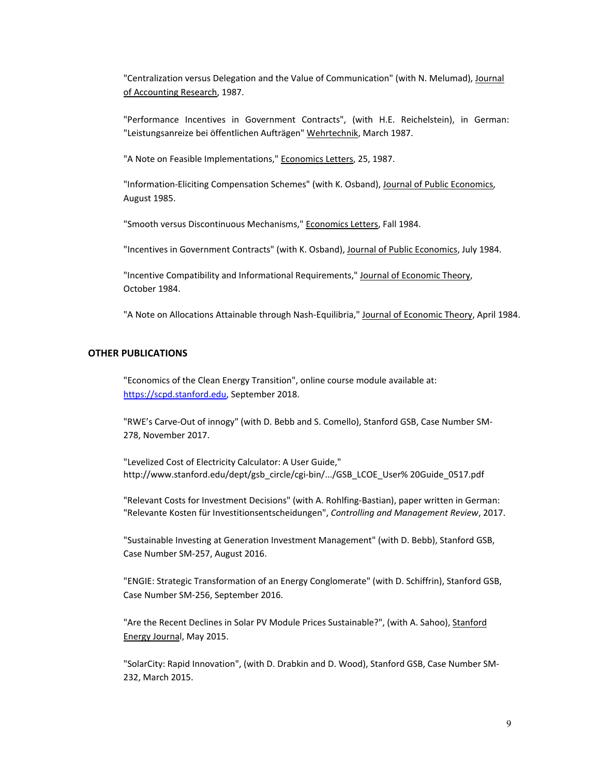"Centralization versus Delegation and the Value of Communication" (with N. Melumad), Journal of Accounting Research, 1987.

"Performance Incentives in Government Contracts", (with H.E. Reichelstein), in German: "Leistungsanreize bei öffentlichen Aufträgen" Wehrtechnik, March 1987.

"A Note on Feasible Implementations," Economics Letters, 25, 1987.

"Information-Eliciting Compensation Schemes" (with K. Osband), Journal of Public Economics, August 1985.

"Smooth versus Discontinuous Mechanisms," Economics Letters, Fall 1984.

"Incentives in Government Contracts" (with K. Osband), Journal of Public Economics, July 1984.

"Incentive Compatibility and Informational Requirements," Journal of Economic Theory, October 1984.

"A Note on Allocations Attainable through Nash-Equilibria," Journal of Economic Theory, April 1984.

## **OTHER PUBLICATIONS**

"Economics of the Clean Energy Transition", online course module available at: [https://scpd.stanford.edu,](https://scpd.stanford.edu/) September 2018.

"RWE's Carve-Out of innogy" (with D. Bebb and S. Comello), Stanford GSB, Case Number SM-278, November 2017.

"Levelized Cost of Electricity Calculator: A User Guide," http://www.stanford.edu/dept/gsb\_circle/cgi-bin/.../GSB\_LCOE\_User% 20Guide\_0517.pdf

"Relevant Costs for Investment Decisions" (with A. Rohlfing-Bastian), paper written in German: "Relevante Kosten für Investitionsentscheidungen", *Controlling and Management Review*, 2017.

"Sustainable Investing at Generation Investment Management" (with D. Bebb), Stanford GSB, Case Number SM-257, August 2016.

"ENGIE: Strategic Transformation of an Energy Conglomerate" (with D. Schiffrin), Stanford GSB, Case Number SM-256, September 2016.

"Are the Recent Declines in Solar PV Module Prices Sustainable?", (with A. Sahoo), Stanford Energy Journal, May 2015.

"SolarCity: Rapid Innovation", (with D. Drabkin and D. Wood), Stanford GSB, Case Number SM-232, March 2015.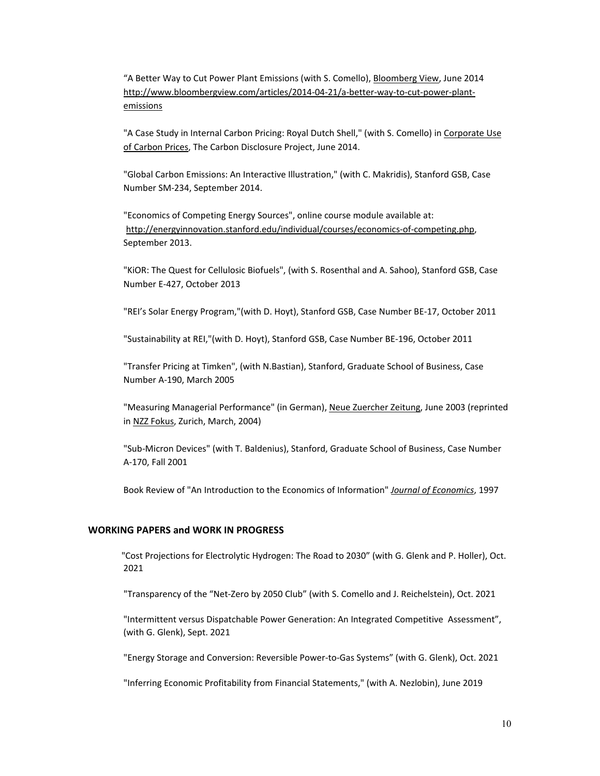"A Better Way to Cut Power Plant Emissions (with S. Comello), Bloomberg View, June 2014 [http://www.bloombergview.com/articles/2014-04-21/a-better-way-to-cut-power-plant](http://www.bloombergview.com/articles/2014-04-21/a-better-way-to-cut-power-plant-emissions)[emissions](http://www.bloombergview.com/articles/2014-04-21/a-better-way-to-cut-power-plant-emissions)

"A Case Study in Internal Carbon Pricing: Royal Dutch Shell," (with S. Comello) in Corporate Use of Carbon Prices, The Carbon Disclosure Project, June 2014.

"Global Carbon Emissions: An Interactive Illustration," (with C. Makridis), Stanford GSB, Case Number SM-234, September 2014.

"Economics of Competing Energy Sources", online course module available at: [http://energyinnovation.stanford.edu/individual/courses/economics-of-competing.php,](http://energyinnovation.stanford.edu/individual/courses/economics-of-competing.php) September 2013.

"KiOR: The Quest for Cellulosic Biofuels", (with S. Rosenthal and A. Sahoo), Stanford GSB, Case Number E-427, October 2013

"REI's Solar Energy Program,"(with D. Hoyt), Stanford GSB, Case Number BE-17, October 2011

"Sustainability at REI,"(with D. Hoyt), Stanford GSB, Case Number BE-196, October 2011

"Transfer Pricing at Timken", (with N.Bastian), Stanford, Graduate School of Business, Case Number A-190, March 2005

"Measuring Managerial Performance" (in German), Neue Zuercher Zeitung, June 2003 (reprinted in NZZ Fokus, Zurich, March, 2004)

"Sub-Micron Devices" (with T. Baldenius), Stanford, Graduate School of Business, Case Number A-170, Fall 2001

Book Review of "An Introduction to the Economics of Information" *Journal of Economics*, 1997

#### **WORKING PAPERS and WORK IN PROGRESS**

 "Cost Projections for Electrolytic Hydrogen: The Road to 2030" (with G. Glenk and P. Holler), Oct. 2021

"Transparency of the "Net-Zero by 2050 Club" (with S. Comello and J. Reichelstein), Oct. 2021

"Intermittent versus Dispatchable Power Generation: An Integrated Competitive Assessment", (with G. Glenk), Sept. 2021

"Energy Storage and Conversion: Reversible Power-to-Gas Systems" (with G. Glenk), Oct. 2021

"Inferring Economic Profitability from Financial Statements," (with A. Nezlobin), June 2019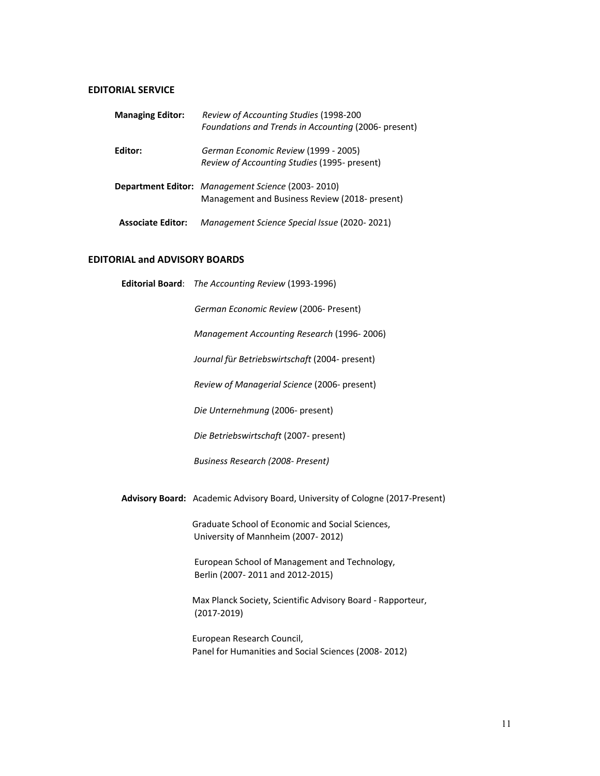# **EDITORIAL SERVICE**

| <b>Managing Editor:</b>  | Review of Accounting Studies (1998-200<br>Foundations and Trends in Accounting (2006- present)      |
|--------------------------|-----------------------------------------------------------------------------------------------------|
| Editor:                  | German Economic Review (1999 - 2005)<br>Review of Accounting Studies (1995- present)                |
|                          | Department Editor: Management Science (2003-2010)<br>Management and Business Review (2018- present) |
| <b>Associate Editor:</b> | Management Science Special Issue (2020-2021)                                                        |

# **EDITORIAL and ADVISORY BOARDS**

| Editorial Board: The Accounting Review (1993-1996)                                     |
|----------------------------------------------------------------------------------------|
| German Economic Review (2006- Present)                                                 |
| Management Accounting Research (1996-2006)                                             |
| Journal für Betriebswirtschaft (2004- present)                                         |
| Review of Managerial Science (2006- present)                                           |
| Die Unternehmung (2006- present)                                                       |
| Die Betriebswirtschaft (2007- present)                                                 |
| Business Research (2008- Present)                                                      |
| Advisory Board: Academic Advisory Board, University of Cologne (2017-Present)          |
| Graduate School of Economic and Social Sciences,<br>University of Mannheim (2007-2012) |
| European School of Management and Technology,<br>Berlin (2007-2011 and 2012-2015)      |
| Max Planck Society, Scientific Advisory Board - Rapporteur,<br>$(2017 - 2019)$         |
| European Research Council,<br>Panel for Humanities and Social Sciences (2008-2012)     |